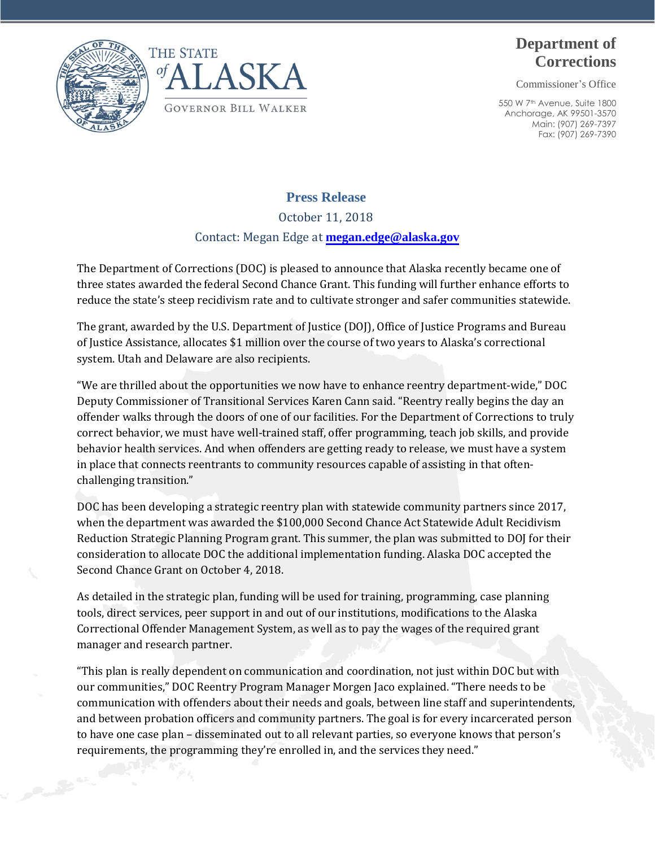



## **Department of Corrections**

Commissioner's Office

550 W 7th Avenue, Suite 1800 Anchorage, AK 99501-3570 Main: (907) 269-7397 Fax: (907) 269-7390

## **Press Release**

October 11, 2018

Contact: Megan Edge at **[megan.edge@alaska.gov](mailto:megan.edge@alaska.gov)**

The Department of Corrections (DOC) is pleased to announce that Alaska recently became one of three states awarded the federal Second Chance Grant. This funding will further enhance efforts to reduce the state's steep recidivism rate and to cultivate stronger and safer communities statewide.

The grant, awarded by the U.S. Department of Justice (DOJ), Office of Justice Programs and Bureau of Justice Assistance, allocates \$1 million over the course of two years to Alaska's correctional system. Utah and Delaware are also recipients.

"We are thrilled about the opportunities we now have to enhance reentry department-wide," DOC Deputy Commissioner of Transitional Services Karen Cann said. "Reentry really begins the day an offender walks through the doors of one of our facilities. For the Department of Corrections to truly correct behavior, we must have well-trained staff, offer programming, teach job skills, and provide behavior health services. And when offenders are getting ready to release, we must have a system in place that connects reentrants to community resources capable of assisting in that oftenchallenging transition."

DOC has been developing a strategic reentry plan with statewide community partners since 2017, when the department was awarded the \$100,000 Second Chance Act Statewide Adult Recidivism Reduction Strategic Planning Program grant. This summer, the plan was submitted to DOJ for their consideration to allocate DOC the additional implementation funding. Alaska DOC accepted the Second Chance Grant on October 4, 2018.

As detailed in the strategic plan, funding will be used for training, programming, case planning tools, direct services, peer support in and out of our institutions, modifications to the Alaska Correctional Offender Management System, as well as to pay the wages of the required grant manager and research partner.

"This plan is really dependent on communication and coordination, not just within DOC but with our communities," DOC Reentry Program Manager Morgen Jaco explained. "There needs to be communication with offenders about their needs and goals, between line staff and superintendents, and between probation officers and community partners. The goal is for every incarcerated person to have one case plan – disseminated out to all relevant parties, so everyone knows that person's requirements, the programming they're enrolled in, and the services they need."